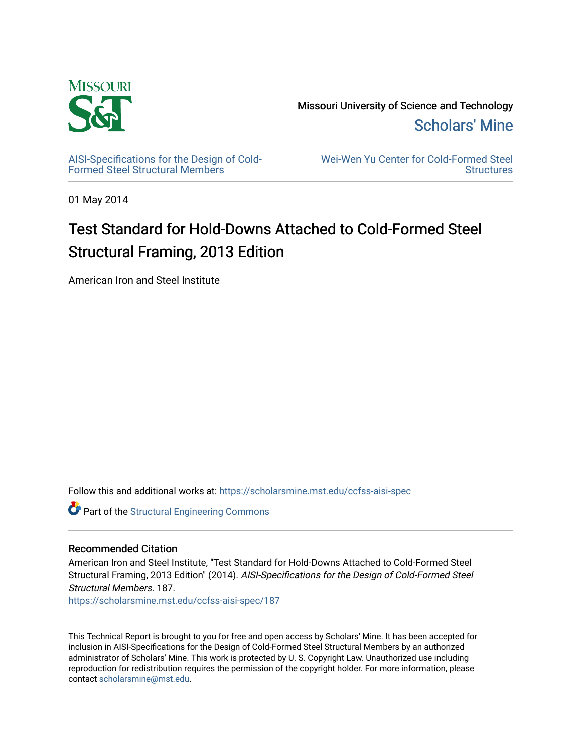

[AISI-Specifications for the Design of Cold-](https://scholarsmine.mst.edu/ccfss-aisi-spec)[Formed Steel Structural Members](https://scholarsmine.mst.edu/ccfss-aisi-spec)

[Wei-Wen Yu Center for Cold-Formed Steel](https://scholarsmine.mst.edu/ccfss)  **Structures** 

01 May 2014

# Test Standard for Hold-Downs Attached to Cold-Formed Steel Structural Framing, 2013 Edition

American Iron and Steel Institute

Follow this and additional works at: [https://scholarsmine.mst.edu/ccfss-aisi-spec](https://scholarsmine.mst.edu/ccfss-aisi-spec?utm_source=scholarsmine.mst.edu%2Fccfss-aisi-spec%2F187&utm_medium=PDF&utm_campaign=PDFCoverPages) 

**Part of the Structural Engineering Commons** 

## Recommended Citation

American Iron and Steel Institute, "Test Standard for Hold-Downs Attached to Cold-Formed Steel Structural Framing, 2013 Edition" (2014). AISI-Specifications for the Design of Cold-Formed Steel Structural Members. 187.

[https://scholarsmine.mst.edu/ccfss-aisi-spec/187](https://scholarsmine.mst.edu/ccfss-aisi-spec/187?utm_source=scholarsmine.mst.edu%2Fccfss-aisi-spec%2F187&utm_medium=PDF&utm_campaign=PDFCoverPages) 

This Technical Report is brought to you for free and open access by Scholars' Mine. It has been accepted for inclusion in AISI-Specifications for the Design of Cold-Formed Steel Structural Members by an authorized administrator of Scholars' Mine. This work is protected by U. S. Copyright Law. Unauthorized use including reproduction for redistribution requires the permission of the copyright holder. For more information, please contact [scholarsmine@mst.edu](mailto:scholarsmine@mst.edu).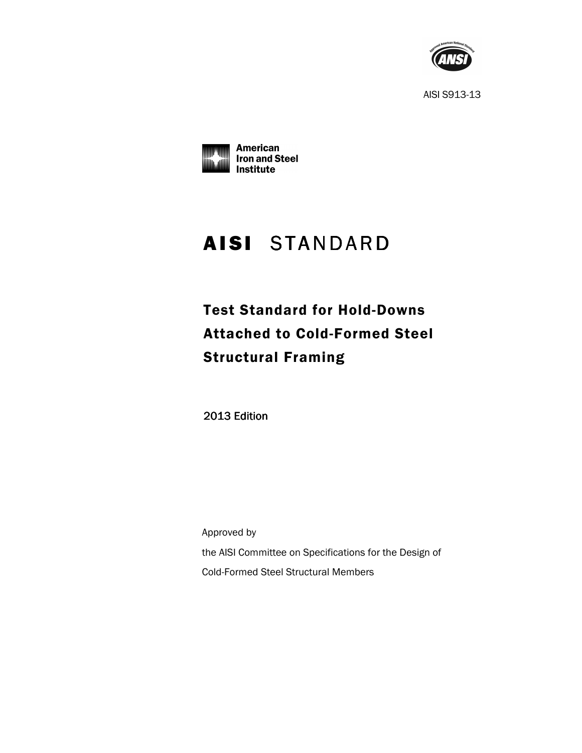

AISI S913-13



# AISI STANDARD

# Test Standard for Hold-Downs Attached to Cold-Formed Steel Structural Framing

2013Edition

Approved by the AISI Committee on Specifications for the Design of Cold-Formed Steel Structural Members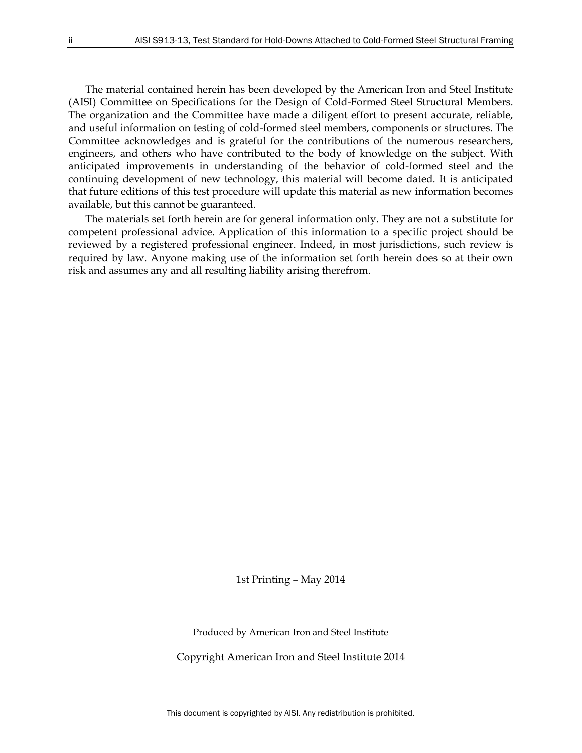The material contained herein has been developed by the American Iron and Steel Institute (AISI) Committee on Specifications for the Design of Cold-Formed Steel Structural Members. The organization and the Committee have made a diligent effort to present accurate, reliable, and useful information on testing of cold-formed steel members, components or structures. The Committee acknowledges and is grateful for the contributions of the numerous researchers, engineers, and others who have contributed to the body of knowledge on the subject. With anticipated improvements in understanding of the behavior of cold-formed steel and the continuing development of new technology, this material will become dated. It is anticipated that future editions of this test procedure will update this material as new information becomes available, but this cannot be guaranteed.

The materials set forth herein are for general information only. They are not a substitute for competent professional advice. Application of this information to a specific project should be reviewed by a registered professional engineer. Indeed, in most jurisdictions, such review is required by law. Anyone making use of the information set forth herein does so at their own risk and assumes any and all resulting liability arising therefrom.

1st Printing – May 2014

Produced by American Iron and Steel Institute

Copyright American Iron and Steel Institute 2014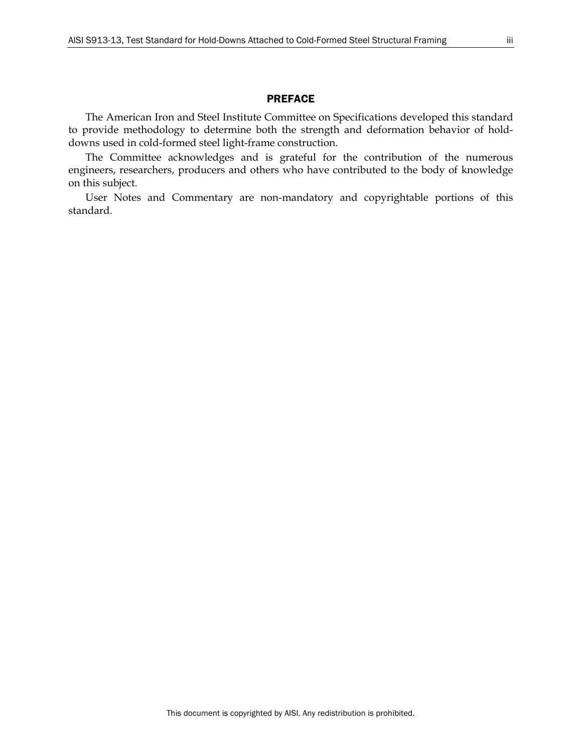## PREFACE

The American Iron and Steel Institute Committee on Specifications developed this standard to provide methodology to determine both the strength and deformation behavior of holddowns used in cold-formed steel light-frame construction.

The Committee acknowledges and is grateful for the contribution of the numerous engineers, researchers, producers and others who have contributed to the body of knowledge on this subject.

User Notes and Commentary are non-mandatory and copyrightable portions of this standard.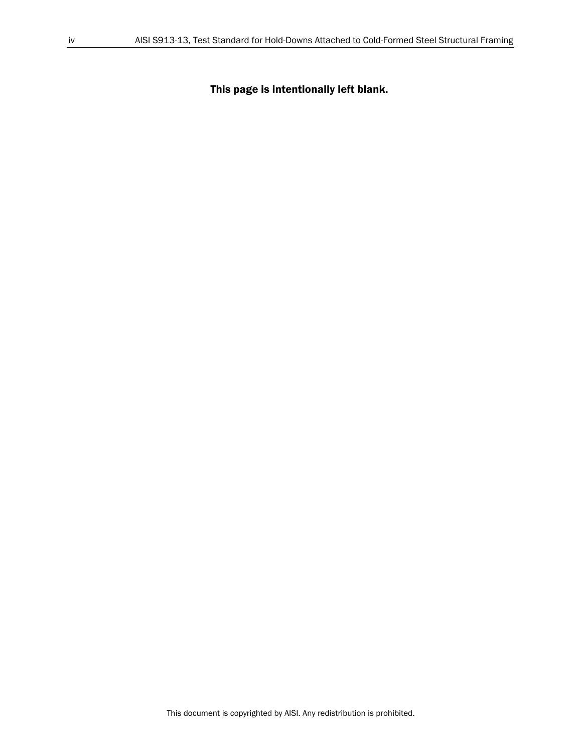This page is intentionally left blank.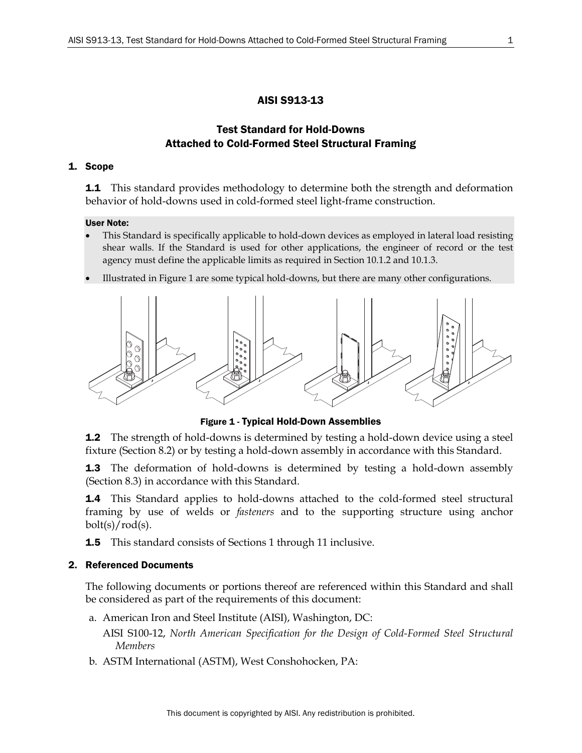# AISI S913-13

## Test Standard for Hold-Downs Attached to Cold-Formed Steel Structural Framing

## 1. Scope

**1.1** This standard provides methodology to determine both the strength and deformation behavior of hold-downs used in cold-formed steel light-frame construction.

## User Note:

- This Standard is specifically applicable to hold-down devices as employed in lateral load resisting shear walls. If the Standard is used for other applications, the engineer of record or the test agency must define the applicable limits as required in Section 10.1.2 and 10.1.3.
- Illustrated in Figure 1 are some typical hold-downs, but there are many other configurations.



Figure 1 - Typical Hold-Down Assemblies

**1.2** The strength of hold-downs is determined by testing a hold-down device using a steel fixture (Section 8.2) or by testing a hold-down assembly in accordance with this Standard.

**1.3** The deformation of hold-downs is determined by testing a hold-down assembly (Section 8.3) in accordance with this Standard.

**1.4** This Standard applies to hold-downs attached to the cold-formed steel structural framing by use of welds or *fasteners* and to the supporting structure using anchor  $\text{bolt}(s)/\text{rod}(s)$ .

**1.5** This standard consists of Sections 1 through 11 inclusive.

## 2. Referenced Documents

The following documents or portions thereof are referenced within this Standard and shall be considered as part of the requirements of this document:

- a. American Iron and Steel Institute (AISI), Washington, DC:
	- AISI S100-12, *North American Specification for the Design of Cold-Formed Steel Structural Members*
- b. ASTM International (ASTM), West Conshohocken, PA: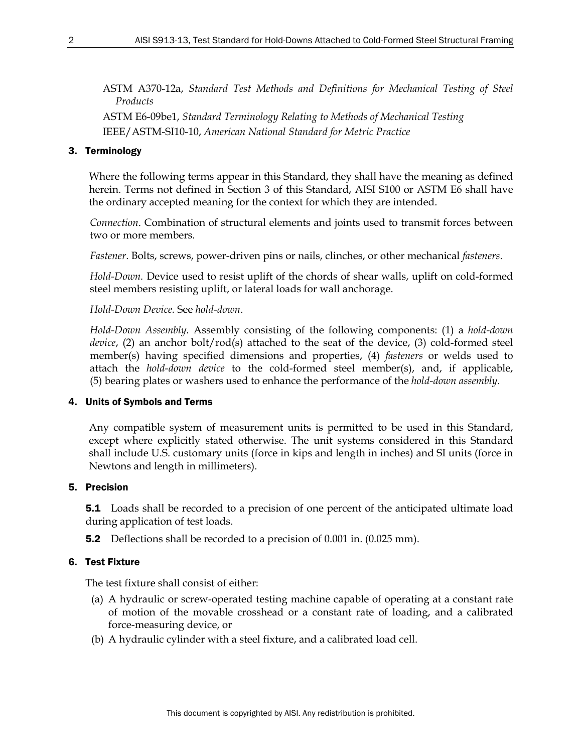ASTM A370-12a, *Standard Test Methods and Definitions for Mechanical Testing of Steel Products* ASTM E6-09be1, *Standard Terminology Relating to Methods of Mechanical Testing*

IEEE/ASTM-SI10-10, *American National Standard for Metric Practice*

## 3. Terminology

Where the following terms appear in this Standard, they shall have the meaning as defined herein. Terms not defined in Section 3 of this Standard, AISI S100 or ASTM E6 shall have the ordinary accepted meaning for the context for which they are intended.

*Connection*. Combination of structural elements and joints used to transmit forces between two or more members.

*Fastener*. Bolts, screws, power-driven pins or nails, clinches, or other mechanical *fasteners*.

*Hold-Down.* Device used to resist uplift of the chords of shear walls, uplift on cold-formed steel members resisting uplift, or lateral loads for wall anchorage.

*Hold-Down Device.* See *hold-down*.

*Hold-Down Assembly.* Assembly consisting of the following components: (1) a *hold-down device*, (2) an anchor bolt/rod(s) attached to the seat of the device, (3) cold-formed steel member(s) having specified dimensions and properties, (4) *fasteners* or welds used to attach the *hold-down device* to the cold-formed steel member(s), and, if applicable, (5) bearing plates or washers used to enhance the performance of the *hold-down assembly*.

## 4. Units of Symbols and Terms

Any compatible system of measurement units is permitted to be used in this Standard, except where explicitly stated otherwise. The unit systems considered in this Standard shall include U.S. customary units (force in kips and length in inches) and SI units (force in Newtons and length in millimeters).

## 5. Precision

**5.1** Loads shall be recorded to a precision of one percent of the anticipated ultimate load during application of test loads.

**5.2** Deflections shall be recorded to a precision of 0.001 in. (0.025 mm).

## 6. Test Fixture

The test fixture shall consist of either:

- (a) A hydraulic or screw-operated testing machine capable of operating at a constant rate of motion of the movable crosshead or a constant rate of loading, and a calibrated force-measuring device, or
- (b) A hydraulic cylinder with a steel fixture, and a calibrated load cell.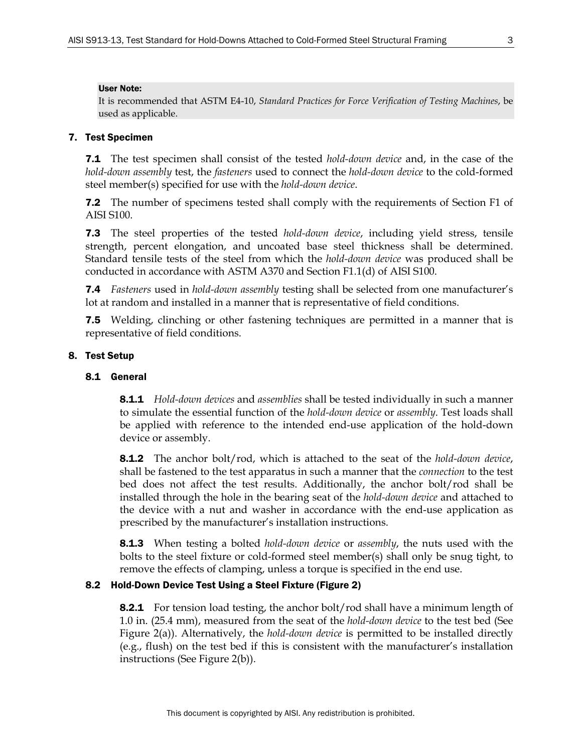#### User Note:

It is recommended that ASTM E4-10, *Standard Practices for Force Verification of Testing Machines*, be used as applicable.

#### 7. Test Specimen

7.1 The test specimen shall consist of the tested *hold-down device* and, in the case of the *hold-down assembly* test, the *fasteners* used to connect the *hold-down device* to the cold-formed steel member(s) specified for use with the *hold-down device*.

**7.2** The number of specimens tested shall comply with the requirements of Section F1 of AISI S100.

7.3 The steel properties of the tested *hold-down device*, including yield stress, tensile strength, percent elongation, and uncoated base steel thickness shall be determined. Standard tensile tests of the steel from which the *hold-down device* was produced shall be conducted in accordance with ASTM A370 and Section F1.1(d) of AISI S100.

7.4 *Fasteners* used in *hold-down assembly* testing shall be selected from one manufacturer's lot at random and installed in a manner that is representative of field conditions.

**7.5** Welding, clinching or other fastening techniques are permitted in a manner that is representative of field conditions.

#### 8. Test Setup

#### 8.1 General

8.1.1 *Hold-down devices* and *assemblies* shall be tested individually in such a manner to simulate the essential function of the *hold-down device* or *assembly*. Test loads shall be applied with reference to the intended end-use application of the hold-down device or assembly.

8.1.2 The anchor bolt/rod, which is attached to the seat of the *hold-down device*, shall be fastened to the test apparatus in such a manner that the *connection* to the test bed does not affect the test results. Additionally, the anchor bolt/rod shall be installed through the hole in the bearing seat of the *hold-down device* and attached to the device with a nut and washer in accordance with the end-use application as prescribed by the manufacturer's installation instructions.

8.1.3 When testing a bolted *hold-down device* or *assembly*, the nuts used with the bolts to the steel fixture or cold-formed steel member(s) shall only be snug tight, to remove the effects of clamping, unless a torque is specified in the end use.

## 8.2 Hold-Down Device Test Using a Steel Fixture (Figure 2)

8.2.1 For tension load testing, the anchor bolt/rod shall have a minimum length of 1.0 in. (25.4 mm), measured from the seat of the *hold-down device* to the test bed (See Figure 2(a)). Alternatively, the *hold-down device* is permitted to be installed directly (e.g., flush) on the test bed if this is consistent with the manufacturer's installation instructions (See Figure 2(b)).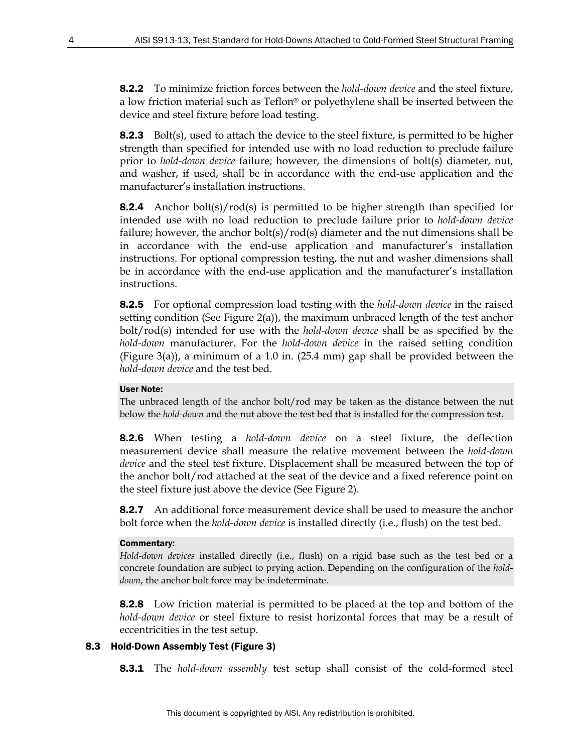8.2.2 To minimize friction forces between the *hold-down device* and the steel fixture, a low friction material such as Teflon<sup>®</sup> or polyethylene shall be inserted between the device and steel fixture before load testing.

**8.2.3** Bolt(s), used to attach the device to the steel fixture, is permitted to be higher strength than specified for intended use with no load reduction to preclude failure prior to *hold-down device* failure; however, the dimensions of bolt(s) diameter, nut, and washer, if used, shall be in accordance with the end-use application and the manufacturer's installation instructions.

**8.2.4** Anchor bolt(s)/rod(s) is permitted to be higher strength than specified for intended use with no load reduction to preclude failure prior to *hold-down device* failure; however, the anchor bolt(s)/rod(s) diameter and the nut dimensions shall be in accordance with the end-use application and manufacturer's installation instructions. For optional compression testing, the nut and washer dimensions shall be in accordance with the end-use application and the manufacturer's installation instructions.

8.2.5 For optional compression load testing with the *hold-down device* in the raised setting condition (See Figure 2(a)), the maximum unbraced length of the test anchor bolt/rod(s) intended for use with the *hold-down device* shall be as specified by the *hold-down* manufacturer. For the *hold-down device* in the raised setting condition (Figure 3(a)), a minimum of a 1.0 in. (25.4 mm) gap shall be provided between the *hold-down device* and the test bed.

#### User Note:

The unbraced length of the anchor bolt/rod may be taken as the distance between the nut below the *hold-down* and the nut above the test bed that is installed for the compression test.

8.2.6 When testing a *hold-down device* on a steel fixture, the deflection measurement device shall measure the relative movement between the *hold-down device* and the steel test fixture. Displacement shall be measured between the top of the anchor bolt/rod attached at the seat of the device and a fixed reference point on the steel fixture just above the device (See Figure 2).

**8.2.7** An additional force measurement device shall be used to measure the anchor bolt force when the *hold-down device* is installed directly (i.e., flush) on the test bed.

#### Commentary:

*Hold-down devices* installed directly (i.e., flush) on a rigid base such as the test bed or a concrete foundation are subject to prying action. Depending on the configuration of the *holddown*, the anchor bolt force may be indeterminate.

**8.2.8** Low friction material is permitted to be placed at the top and bottom of the *hold-down device* or steel fixture to resist horizontal forces that may be a result of eccentricities in the test setup.

#### 8.3 Hold-Down Assembly Test (Figure 3)

8.3.1 The *hold-down assembly* test setup shall consist of the cold-formed steel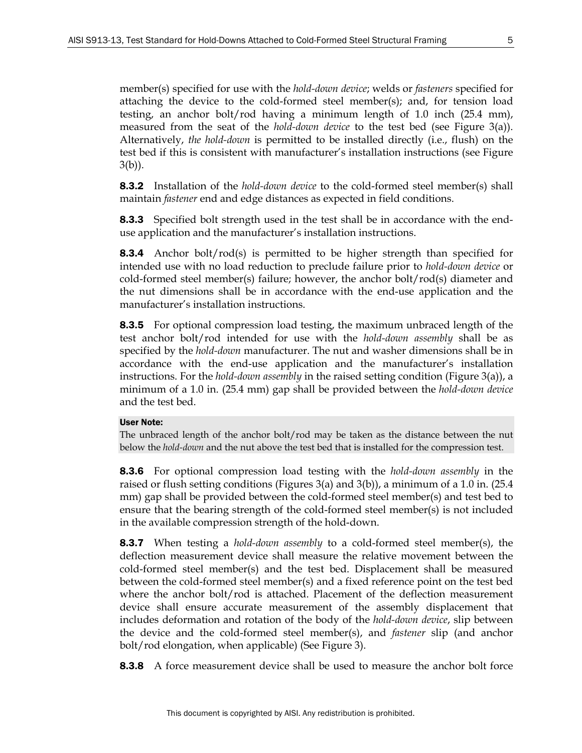member(s) specified for use with the *hold-down device*; welds or *fasteners* specified for attaching the device to the cold-formed steel member(s); and, for tension load testing, an anchor bolt/rod having a minimum length of 1.0 inch (25.4 mm), measured from the seat of the *hold-down device* to the test bed (see Figure 3(a)). Alternatively, *the hold-down* is permitted to be installed directly (i.e., flush) on the test bed if this is consistent with manufacturer's installation instructions (see Figure 3(b)).

**8.3.2** Installation of the *hold-down device* to the cold-formed steel member(s) shall maintain *fastener* end and edge distances as expected in field conditions.

**8.3.3** Specified bolt strength used in the test shall be in accordance with the enduse application and the manufacturer's installation instructions.

**8.3.4** Anchor bolt/rod(s) is permitted to be higher strength than specified for intended use with no load reduction to preclude failure prior to *hold-down device* or cold-formed steel member(s) failure; however, the anchor bolt/rod(s) diameter and the nut dimensions shall be in accordance with the end-use application and the manufacturer's installation instructions.

**8.3.5** For optional compression load testing, the maximum unbraced length of the test anchor bolt/rod intended for use with the *hold-down assembly* shall be as specified by the *hold-down* manufacturer. The nut and washer dimensions shall be in accordance with the end-use application and the manufacturer's installation instructions. For the *hold-down assembly* in the raised setting condition (Figure 3(a)), a minimum of a 1.0 in. (25.4 mm) gap shall be provided between the *hold-down device* and the test bed.

#### User Note:

The unbraced length of the anchor bolt/rod may be taken as the distance between the nut below the *hold-down* and the nut above the test bed that is installed for the compression test.

8.3.6 For optional compression load testing with the *hold-down assembly* in the raised or flush setting conditions (Figures 3(a) and 3(b)), a minimum of a 1.0 in. (25.4 mm) gap shall be provided between the cold-formed steel member(s) and test bed to ensure that the bearing strength of the cold-formed steel member(s) is not included in the available compression strength of the hold-down.

8.3.7 When testing a *hold-down assembly* to a cold-formed steel member(s), the deflection measurement device shall measure the relative movement between the cold-formed steel member(s) and the test bed. Displacement shall be measured between the cold-formed steel member(s) and a fixed reference point on the test bed where the anchor bolt/rod is attached. Placement of the deflection measurement device shall ensure accurate measurement of the assembly displacement that includes deformation and rotation of the body of the *hold-down device*, slip between the device and the cold-formed steel member(s), and *fastener* slip (and anchor bolt/rod elongation, when applicable) (See Figure 3).

**8.3.8** A force measurement device shall be used to measure the anchor bolt force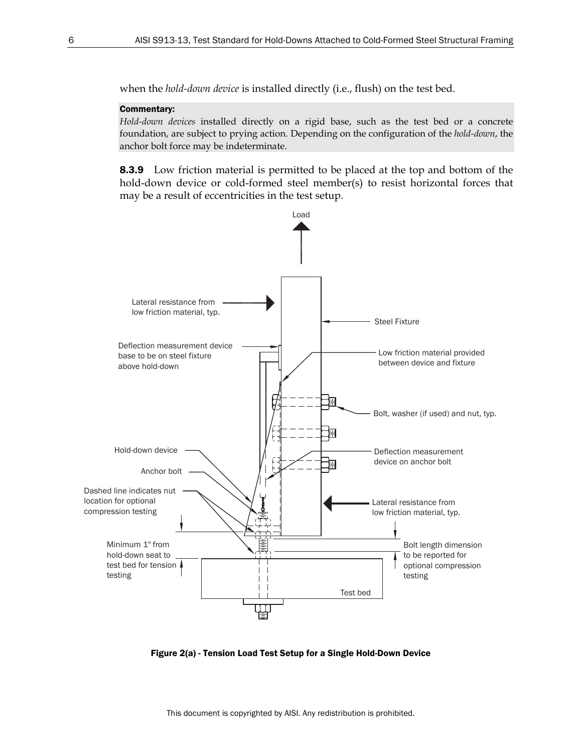when the *hold-down device* is installed directly (i.e., flush) on the test bed.

#### Commentary:

*Hold-down devices* installed directly on a rigid base, such as the test bed or a concrete foundation, are subject to prying action. Depending on the configuration of the *hold-down*, the anchor bolt force may be indeterminate.

8.3.9 Low friction material is permitted to be placed at the top and bottom of the hold-down device or cold-formed steel member(s) to resist horizontal forces that may be a result of eccentricities in the test setup.



Figure 2(a) - Tension Load Test Setup for a Single Hold-Down Device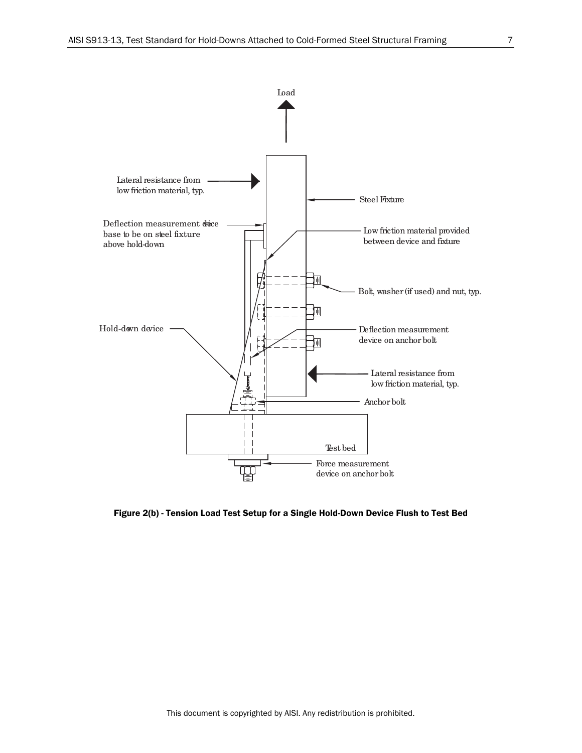

Figure 2(b) - Tension Load Test Setup for a Single Hold-Down Device Flush to Test Bed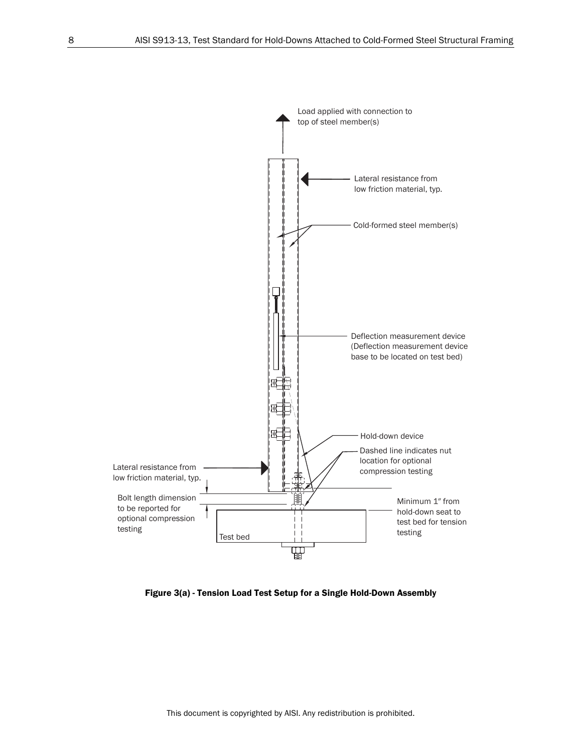

Figure 3(a) - Tension Load Test Setup for a Single Hold-Down Assembly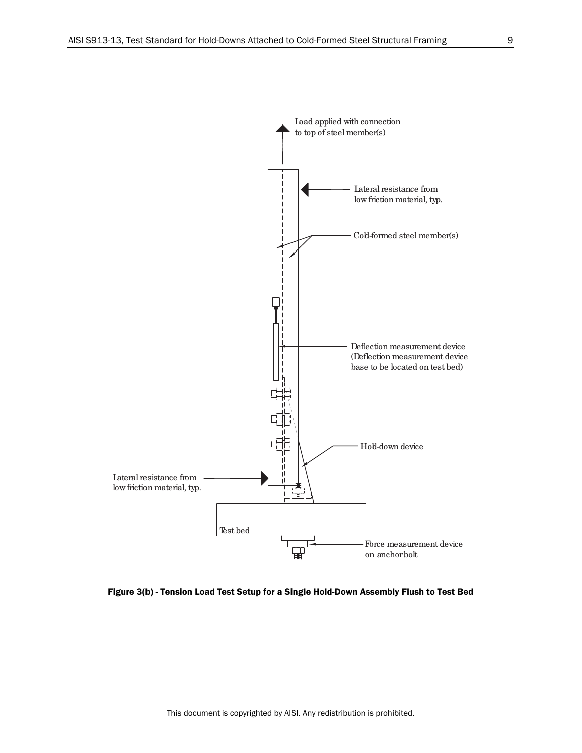

Figure 3(b) - Tension Load Test Setup for a Single Hold-Down Assembly Flush to Test Bed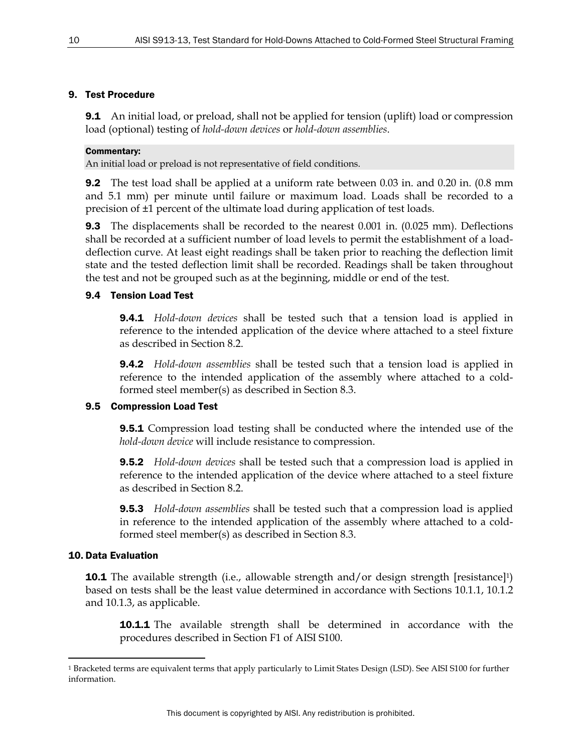## 9. Test Procedure

**9.1** An initial load, or preload, shall not be applied for tension (uplift) load or compression load (optional) testing of *hold-down devices* or *hold-down assemblies*.

## Commentary:

An initial load or preload is not representative of field conditions.

**9.2** The test load shall be applied at a uniform rate between 0.03 in. and 0.20 in. (0.8 mm and 5.1 mm) per minute until failure or maximum load. Loads shall be recorded to a precision of ±1 percent of the ultimate load during application of test loads.

**9.3** The displacements shall be recorded to the nearest 0.001 in. (0.025 mm). Deflections shall be recorded at a sufficient number of load levels to permit the establishment of a loaddeflection curve. At least eight readings shall be taken prior to reaching the deflection limit state and the tested deflection limit shall be recorded. Readings shall be taken throughout the test and not be grouped such as at the beginning, middle or end of the test.

## 9.4 Tension Load Test

9.4.1 *Hold-down devices* shall be tested such that a tension load is applied in reference to the intended application of the device where attached to a steel fixture as described in Section 8.2.

9.4.2 *Hold-down assemblies* shall be tested such that a tension load is applied in reference to the intended application of the assembly where attached to a coldformed steel member(s) as described in Section 8.3.

## 9.5 Compression Load Test

**9.5.1** Compression load testing shall be conducted where the intended use of the *hold-down device* will include resistance to compression.

9.5.2 *Hold-down devices* shall be tested such that a compression load is applied in reference to the intended application of the device where attached to a steel fixture as described in Section 8.2.

9.5.3 *Hold-down assemblies* shall be tested such that a compression load is applied in reference to the intended application of the assembly where attached to a coldformed steel member(s) as described in Section 8.3.

## 10. Data Evaluation

**10.1** The available strength (i.e., allowable strength and/or design strength [resistance]<sup>1</sup>) based on tests shall be the least value determined in accordance with Sections 10.1.1, 10.1.2 and 10.1.3, as applicable.

**10.1.1** The available strength shall be determined in accordance with the procedures described in Section F1 of AISI S100.

 $\overline{a}$ <sup>1</sup> Bracketed terms are equivalent terms that apply particularly to Limit States Design (LSD). See AISI S100 for further information.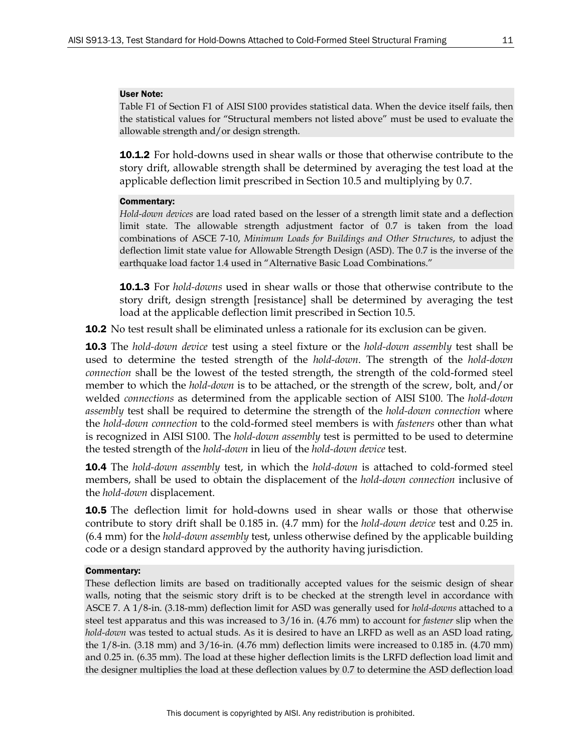#### User Note:

Table F1 of Section F1 of AISI S100 provides statistical data. When the device itself fails, then the statistical values for "Structural members not listed above" must be used to evaluate the allowable strength and/or design strength.

**10.1.2** For hold-downs used in shear walls or those that otherwise contribute to the story drift, allowable strength shall be determined by averaging the test load at the applicable deflection limit prescribed in Section 10.5 and multiplying by 0.7.

#### Commentary:

*Hold-down devices* are load rated based on the lesser of a strength limit state and a deflection limit state. The allowable strength adjustment factor of 0.7 is taken from the load combinations of ASCE 7-10, *Minimum Loads for Buildings and Other Structures*, to adjust the deflection limit state value for Allowable Strength Design (ASD). The 0.7 is the inverse of the earthquake load factor 1.4 used in "Alternative Basic Load Combinations."

10.1.3 For *hold-downs* used in shear walls or those that otherwise contribute to the story drift, design strength [resistance] shall be determined by averaging the test load at the applicable deflection limit prescribed in Section 10.5.

**10.2** No test result shall be eliminated unless a rationale for its exclusion can be given.

10.3 The *hold-down device* test using a steel fixture or the *hold-down assembly* test shall be used to determine the tested strength of the *hold-down*. The strength of the *hold-down connection* shall be the lowest of the tested strength, the strength of the cold-formed steel member to which the *hold-down* is to be attached, or the strength of the screw, bolt, and/or welded *connections* as determined from the applicable section of AISI S100. The *hold-down assembly* test shall be required to determine the strength of the *hold-down connection* where the *hold-down connection* to the cold-formed steel members is with *fasteners* other than what is recognized in AISI S100. The *hold-down assembly* test is permitted to be used to determine the tested strength of the *hold-down* in lieu of the *hold-down device* test.

10.4 The *hold-down assembly* test, in which the *hold-down* is attached to cold-formed steel members, shall be used to obtain the displacement of the *hold-down connection* inclusive of the *hold-down* displacement.

**10.5** The deflection limit for hold-downs used in shear walls or those that otherwise contribute to story drift shall be 0.185 in. (4.7 mm) for the *hold-down device* test and 0.25 in. (6.4 mm) for the *hold-down assembly* test, unless otherwise defined by the applicable building code or a design standard approved by the authority having jurisdiction.

#### Commentary:

These deflection limits are based on traditionally accepted values for the seismic design of shear walls, noting that the seismic story drift is to be checked at the strength level in accordance with ASCE 7. A 1/8-in. (3.18-mm) deflection limit for ASD was generally used for *hold-downs* attached to a steel test apparatus and this was increased to 3/16 in. (4.76 mm) to account for *fastener* slip when the *hold-down* was tested to actual studs. As it is desired to have an LRFD as well as an ASD load rating, the 1/8-in. (3.18 mm) and 3/16-in. (4.76 mm) deflection limits were increased to 0.185 in. (4.70 mm) and 0.25 in. (6.35 mm). The load at these higher deflection limits is the LRFD deflection load limit and the designer multiplies the load at these deflection values by 0.7 to determine the ASD deflection load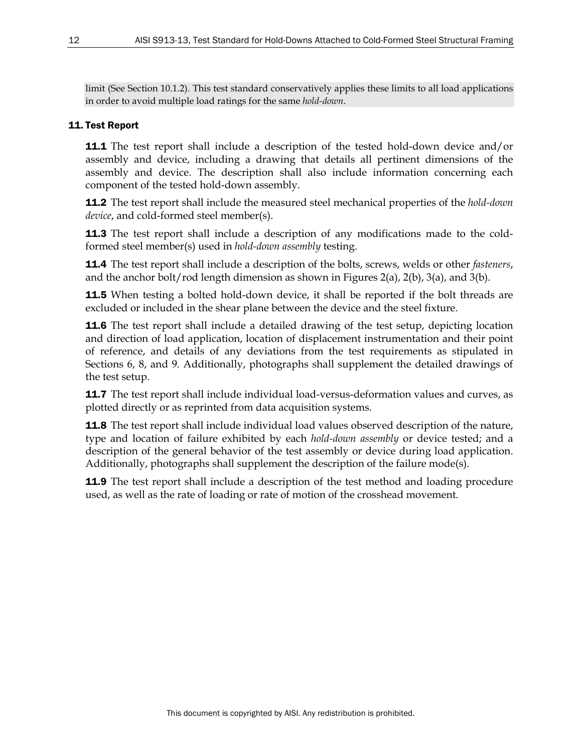limit (See Section 10.1.2). This test standard conservatively applies these limits to all load applications in order to avoid multiple load ratings for the same *hold-down*.

## 11. Test Report

**11.1** The test report shall include a description of the tested hold-down device and/or assembly and device, including a drawing that details all pertinent dimensions of the assembly and device. The description shall also include information concerning each component of the tested hold-down assembly.

11.2 The test report shall include the measured steel mechanical properties of the *hold-down device*, and cold-formed steel member(s).

**11.3** The test report shall include a description of any modifications made to the coldformed steel member(s) used in *hold-down assembly* testing.

11.4 The test report shall include a description of the bolts, screws, welds or other *fasteners*, and the anchor bolt/rod length dimension as shown in Figures 2(a), 2(b), 3(a), and 3(b).

**11.5** When testing a bolted hold-down device, it shall be reported if the bolt threads are excluded or included in the shear plane between the device and the steel fixture.

**11.6** The test report shall include a detailed drawing of the test setup, depicting location and direction of load application, location of displacement instrumentation and their point of reference, and details of any deviations from the test requirements as stipulated in Sections 6, 8, and 9. Additionally, photographs shall supplement the detailed drawings of the test setup.

**11.7** The test report shall include individual load-versus-deformation values and curves, as plotted directly or as reprinted from data acquisition systems.

**11.8** The test report shall include individual load values observed description of the nature, type and location of failure exhibited by each *hold-down assembly* or device tested; and a description of the general behavior of the test assembly or device during load application. Additionally, photographs shall supplement the description of the failure mode(s).

**11.9** The test report shall include a description of the test method and loading procedure used, as well as the rate of loading or rate of motion of the crosshead movement.